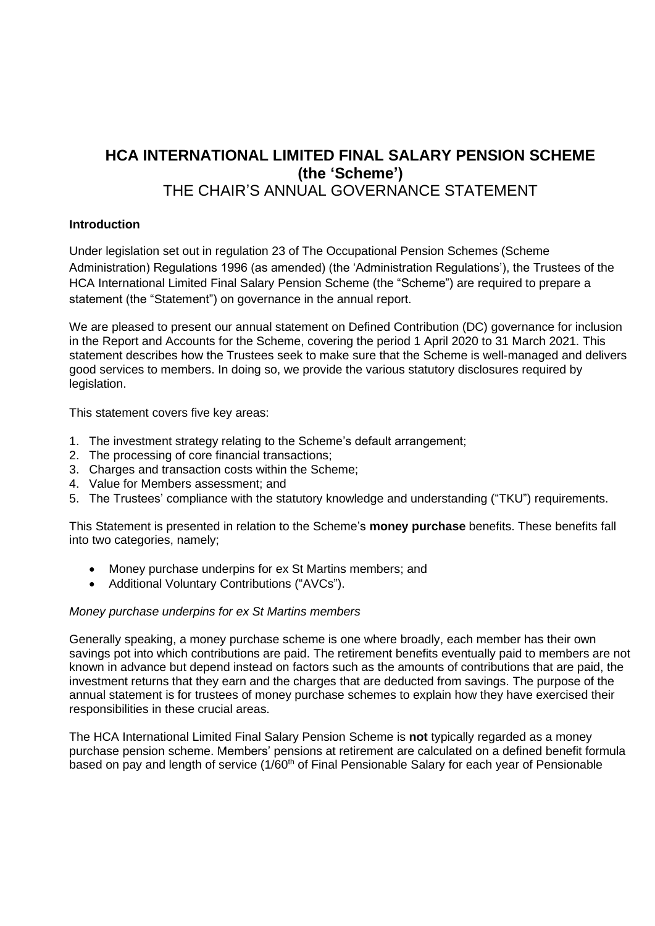# **HCA INTERNATIONAL LIMITED FINAL SALARY PENSION SCHEME (the 'Scheme')** THE CHAIR'S ANNUAL GOVERNANCE STATEMENT

# **Introduction**

Under legislation set out in regulation 23 of The Occupational Pension Schemes (Scheme Administration) Regulations 1996 (as amended) (the 'Administration Regulations'), the Trustees of the HCA International Limited Final Salary Pension Scheme (the "Scheme") are required to prepare a statement (the "Statement") on governance in the annual report.

We are pleased to present our annual statement on Defined Contribution (DC) governance for inclusion in the Report and Accounts for the Scheme, covering the period 1 April 2020 to 31 March 2021. This statement describes how the Trustees seek to make sure that the Scheme is well-managed and delivers good services to members. In doing so, we provide the various statutory disclosures required by legislation.

This statement covers five key areas:

- 1. The investment strategy relating to the Scheme's default arrangement;
- 2. The processing of core financial transactions;
- 3. Charges and transaction costs within the Scheme;
- 4. Value for Members assessment; and
- 5. The Trustees' compliance with the statutory knowledge and understanding ("TKU") requirements.

This Statement is presented in relation to the Scheme's **money purchase** benefits. These benefits fall into two categories, namely;

- Money purchase underpins for ex St Martins members; and
- Additional Voluntary Contributions ("AVCs").

### *Money purchase underpins for ex St Martins members*

Generally speaking, a money purchase scheme is one where broadly, each member has their own savings pot into which contributions are paid. The retirement benefits eventually paid to members are not known in advance but depend instead on factors such as the amounts of contributions that are paid, the investment returns that they earn and the charges that are deducted from savings. The purpose of the annual statement is for trustees of money purchase schemes to explain how they have exercised their responsibilities in these crucial areas.

The HCA International Limited Final Salary Pension Scheme is **not** typically regarded as a money purchase pension scheme. Members' pensions at retirement are calculated on a defined benefit formula based on pay and length of service (1/60<sup>th</sup> of Final Pensionable Salary for each year of Pensionable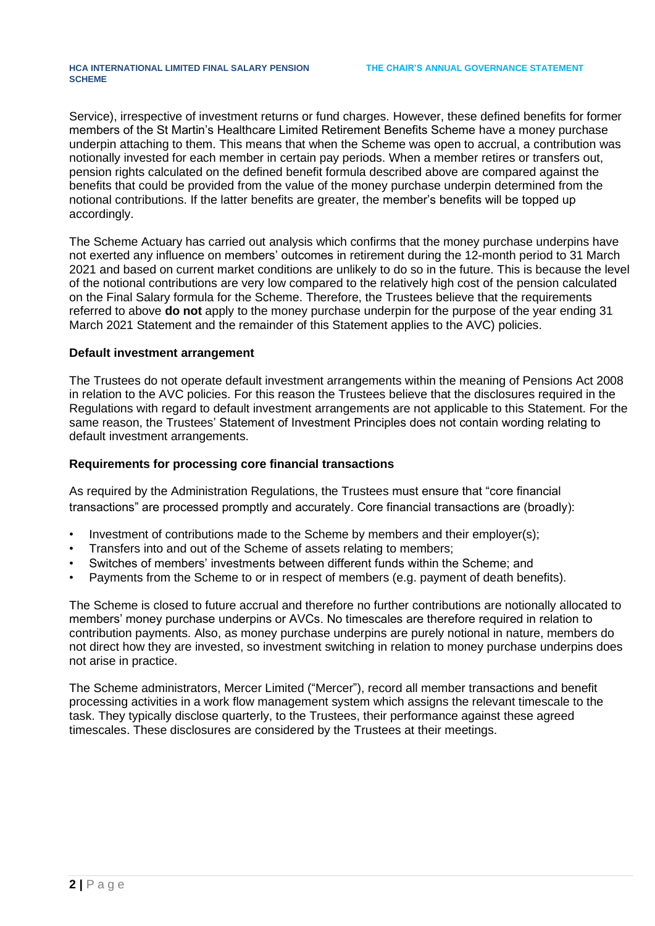Service), irrespective of investment returns or fund charges. However, these defined benefits for former members of the St Martin's Healthcare Limited Retirement Benefits Scheme have a money purchase underpin attaching to them. This means that when the Scheme was open to accrual, a contribution was notionally invested for each member in certain pay periods. When a member retires or transfers out, pension rights calculated on the defined benefit formula described above are compared against the benefits that could be provided from the value of the money purchase underpin determined from the notional contributions. If the latter benefits are greater, the member's benefits will be topped up accordingly.

The Scheme Actuary has carried out analysis which confirms that the money purchase underpins have not exerted any influence on members' outcomes in retirement during the 12-month period to 31 March 2021 and based on current market conditions are unlikely to do so in the future. This is because the level of the notional contributions are very low compared to the relatively high cost of the pension calculated on the Final Salary formula for the Scheme. Therefore, the Trustees believe that the requirements referred to above **do not** apply to the money purchase underpin for the purpose of the year ending 31 March 2021 Statement and the remainder of this Statement applies to the AVC) policies.

#### **Default investment arrangement**

The Trustees do not operate default investment arrangements within the meaning of Pensions Act 2008 in relation to the AVC policies. For this reason the Trustees believe that the disclosures required in the Regulations with regard to default investment arrangements are not applicable to this Statement. For the same reason, the Trustees' Statement of Investment Principles does not contain wording relating to default investment arrangements.

#### **Requirements for processing core financial transactions**

As required by the Administration Regulations, the Trustees must ensure that "core financial transactions" are processed promptly and accurately. Core financial transactions are (broadly):

- Investment of contributions made to the Scheme by members and their employer(s);
- Transfers into and out of the Scheme of assets relating to members;
- Switches of members' investments between different funds within the Scheme; and
- Payments from the Scheme to or in respect of members (e.g. payment of death benefits).

The Scheme is closed to future accrual and therefore no further contributions are notionally allocated to members' money purchase underpins or AVCs. No timescales are therefore required in relation to contribution payments. Also, as money purchase underpins are purely notional in nature, members do not direct how they are invested, so investment switching in relation to money purchase underpins does not arise in practice.

The Scheme administrators, Mercer Limited ("Mercer"), record all member transactions and benefit processing activities in a work flow management system which assigns the relevant timescale to the task. They typically disclose quarterly, to the Trustees, their performance against these agreed timescales. These disclosures are considered by the Trustees at their meetings.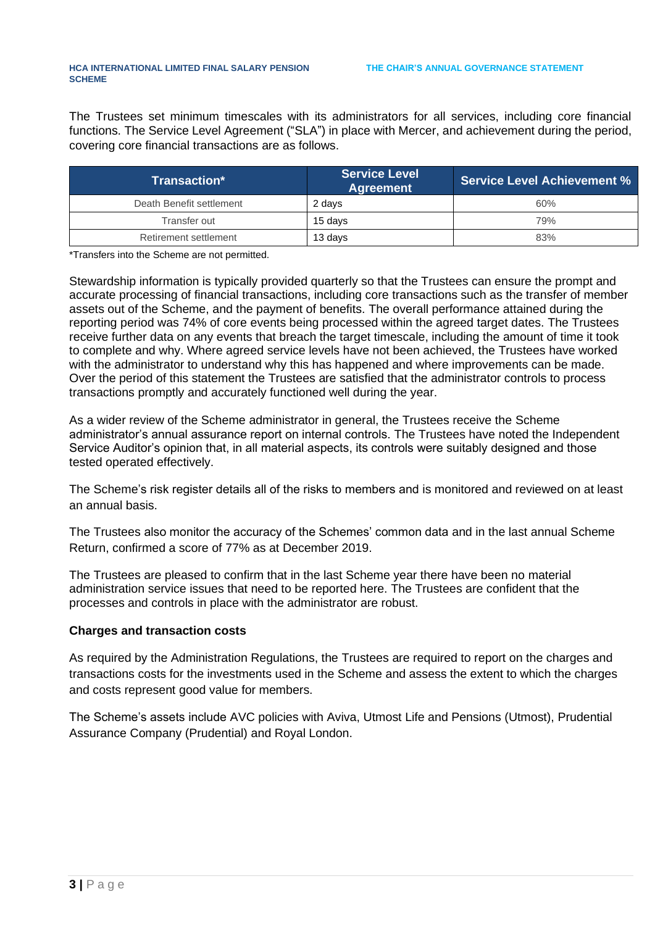The Trustees set minimum timescales with its administrators for all services, including core financial functions. The Service Level Agreement ("SLA") in place with Mercer, and achievement during the period, covering core financial transactions are as follows.

| Transaction*             | ∣ Service Level <sup>∣</sup><br><b>Agreement</b> | Service Level Achievement % |  |  |
|--------------------------|--------------------------------------------------|-----------------------------|--|--|
| Death Benefit settlement | 2 days                                           | 60%                         |  |  |
| Transfer out             | 15 davs                                          | 79%                         |  |  |
| Retirement settlement    | 13 days                                          | 83%                         |  |  |

\*Transfers into the Scheme are not permitted.

Stewardship information is typically provided quarterly so that the Trustees can ensure the prompt and accurate processing of financial transactions, including core transactions such as the transfer of member assets out of the Scheme, and the payment of benefits. The overall performance attained during the reporting period was 74% of core events being processed within the agreed target dates. The Trustees receive further data on any events that breach the target timescale, including the amount of time it took to complete and why. Where agreed service levels have not been achieved, the Trustees have worked with the administrator to understand why this has happened and where improvements can be made. Over the period of this statement the Trustees are satisfied that the administrator controls to process transactions promptly and accurately functioned well during the year.

As a wider review of the Scheme administrator in general, the Trustees receive the Scheme administrator's annual assurance report on internal controls. The Trustees have noted the Independent Service Auditor's opinion that, in all material aspects, its controls were suitably designed and those tested operated effectively.

The Scheme's risk register details all of the risks to members and is monitored and reviewed on at least an annual basis.

The Trustees also monitor the accuracy of the Schemes' common data and in the last annual Scheme Return, confirmed a score of 77% as at December 2019.

The Trustees are pleased to confirm that in the last Scheme year there have been no material administration service issues that need to be reported here. The Trustees are confident that the processes and controls in place with the administrator are robust.

### **Charges and transaction costs**

As required by the Administration Regulations, the Trustees are required to report on the charges and transactions costs for the investments used in the Scheme and assess the extent to which the charges and costs represent good value for members.

The Scheme's assets include AVC policies with Aviva, Utmost Life and Pensions (Utmost), Prudential Assurance Company (Prudential) and Royal London.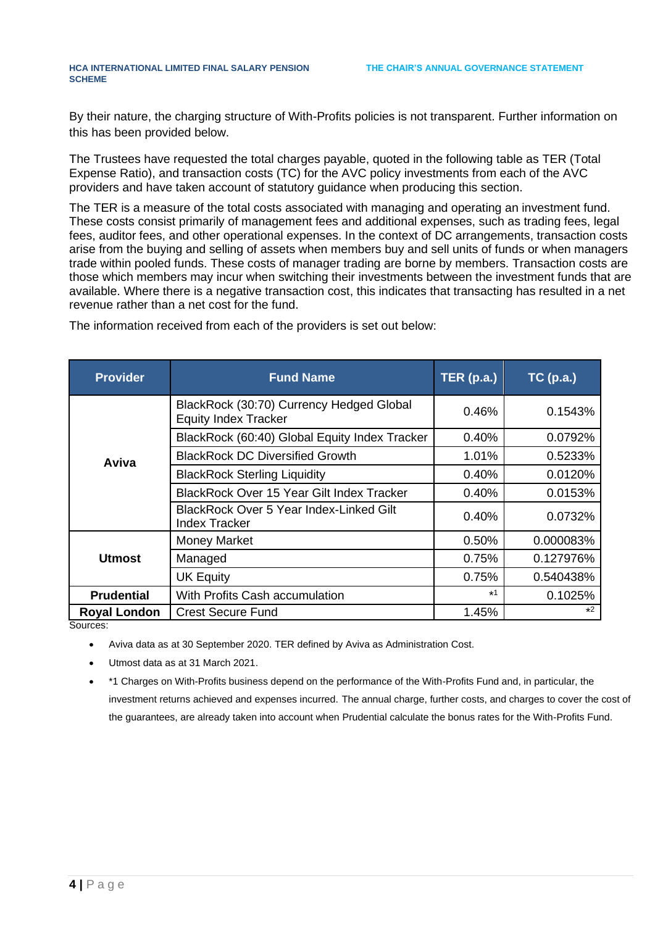#### **HCA INTERNATIONAL LIMITED FINAL SALARY PENSION SCHEME**

By their nature, the charging structure of With-Profits policies is not transparent. Further information on this has been provided below.

The Trustees have requested the total charges payable, quoted in the following table as TER (Total Expense Ratio), and transaction costs (TC) for the AVC policy investments from each of the AVC providers and have taken account of statutory guidance when producing this section.

The TER is a measure of the total costs associated with managing and operating an investment fund. These costs consist primarily of management fees and additional expenses, such as trading fees, legal fees, auditor fees, and other operational expenses. In the context of DC arrangements, transaction costs arise from the buying and selling of assets when members buy and sell units of funds or when managers trade within pooled funds. These costs of manager trading are borne by members. Transaction costs are those which members may incur when switching their investments between the investment funds that are available. Where there is a negative transaction cost, this indicates that transacting has resulted in a net revenue rather than a net cost for the fund.

| <b>Provider</b>     | <b>Fund Name</b>                                                        | TER(p.a.) | $TC$ (p.a.) |
|---------------------|-------------------------------------------------------------------------|-----------|-------------|
|                     | BlackRock (30:70) Currency Hedged Global<br><b>Equity Index Tracker</b> | 0.46%     | 0.1543%     |
|                     | BlackRock (60:40) Global Equity Index Tracker                           | 0.40%     | 0.0792%     |
| Aviva               | <b>BlackRock DC Diversified Growth</b>                                  | 1.01%     | 0.5233%     |
|                     | <b>BlackRock Sterling Liquidity</b>                                     | 0.40%     | 0.0120%     |
|                     | <b>BlackRock Over 15 Year Gilt Index Tracker</b>                        | 0.40%     | 0.0153%     |
|                     | <b>BlackRock Over 5 Year Index-Linked Gilt</b><br><b>Index Tracker</b>  | 0.40%     | 0.0732%     |
| <b>Utmost</b>       | <b>Money Market</b>                                                     | 0.50%     | 0.000083%   |
|                     | Managed                                                                 | 0.75%     | 0.127976%   |
|                     | <b>UK Equity</b>                                                        | 0.75%     | 0.540438%   |
| <b>Prudential</b>   | With Profits Cash accumulation                                          | $*1$      | 0.1025%     |
| <b>Royal London</b> | <b>Crest Secure Fund</b>                                                | 1.45%     | $*2$        |

The information received from each of the providers is set out below:

Sources:

- Aviva data as at 30 September 2020. TER defined by Aviva as Administration Cost.
- Utmost data as at 31 March 2021.
- \*1 Charges on With-Profits business depend on the performance of the With-Profits Fund and, in particular, the investment returns achieved and expenses incurred. The annual charge, further costs, and charges to cover the cost of the guarantees, are already taken into account when Prudential calculate the bonus rates for the With-Profits Fund.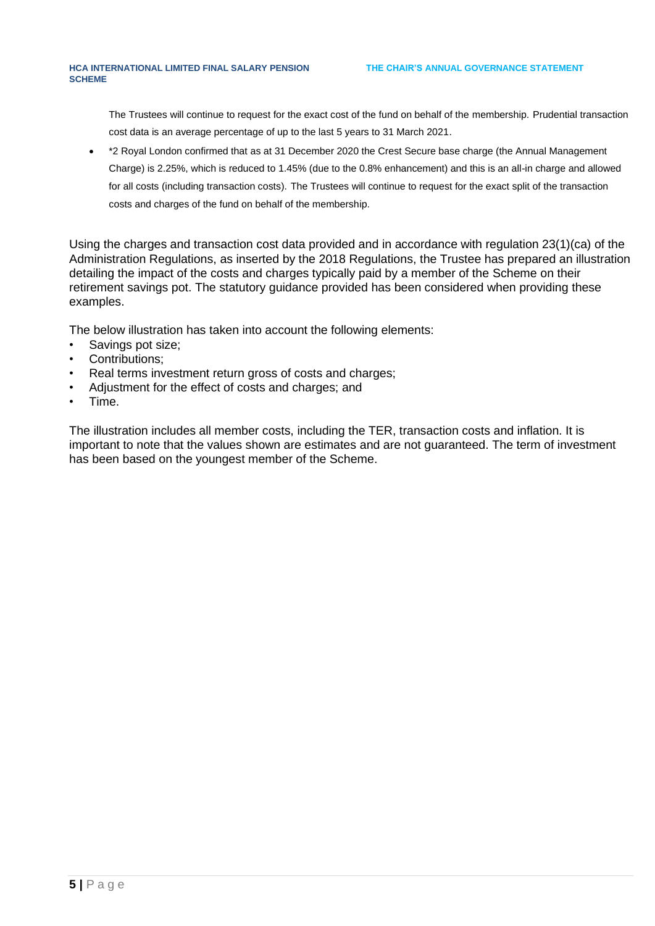The Trustees will continue to request for the exact cost of the fund on behalf of the membership. Prudential transaction cost data is an average percentage of up to the last 5 years to 31 March 2021.

• \*2 Royal London confirmed that as at 31 December 2020 the Crest Secure base charge (the Annual Management Charge) is 2.25%, which is reduced to 1.45% (due to the 0.8% enhancement) and this is an all-in charge and allowed for all costs (including transaction costs). The Trustees will continue to request for the exact split of the transaction costs and charges of the fund on behalf of the membership.

Using the charges and transaction cost data provided and in accordance with regulation 23(1)(ca) of the Administration Regulations, as inserted by the 2018 Regulations, the Trustee has prepared an illustration detailing the impact of the costs and charges typically paid by a member of the Scheme on their retirement savings pot. The statutory guidance provided has been considered when providing these examples.

The below illustration has taken into account the following elements:

- Savings pot size;
- Contributions:
- Real terms investment return gross of costs and charges;
- Adjustment for the effect of costs and charges; and
- Time.

The illustration includes all member costs, including the TER, transaction costs and inflation. It is important to note that the values shown are estimates and are not guaranteed. The term of investment has been based on the youngest member of the Scheme.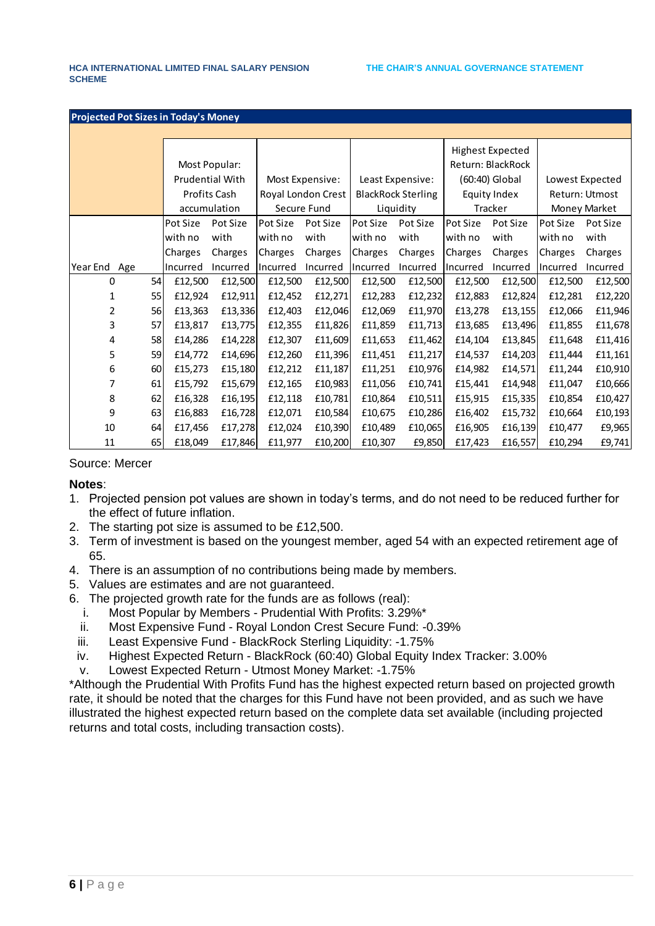| <b>Projected Pot Sizes in Today's Money</b> |    |                 |          |                    |          |                           |          |                   |                         |                 |          |
|---------------------------------------------|----|-----------------|----------|--------------------|----------|---------------------------|----------|-------------------|-------------------------|-----------------|----------|
|                                             |    |                 |          |                    |          |                           |          |                   |                         |                 |          |
|                                             |    |                 |          |                    |          |                           |          |                   | <b>Highest Expected</b> |                 |          |
|                                             |    | Most Popular:   |          |                    |          |                           |          | Return: BlackRock |                         |                 |          |
|                                             |    | Prudential With |          | Most Expensive:    |          | Least Expensive:          |          | (60:40) Global    |                         | Lowest Expected |          |
|                                             |    | Profits Cash    |          | Royal London Crest |          | <b>BlackRock Sterling</b> |          | Equity Index      |                         | Return: Utmost  |          |
|                                             |    | accumulation    |          | Secure Fund        |          | Liquidity                 |          | Tracker           |                         | Money Market    |          |
|                                             |    | Pot Size        | Pot Size | Pot Size           | Pot Size | Pot Size                  | Pot Size | Pot Size          | Pot Size                | Pot Size        | Pot Size |
|                                             |    | with no         | with     | with no            | with     | with no                   | with     | with no           | with                    | with no         | with     |
|                                             |    | Charges         | Charges  | Charges            | Charges  | Charges                   | Charges  | Charges           | Charges                 | Charges         | Charges  |
| Year End<br>Age                             |    | Incurred        | Incurred | Incurred           | Incurred | Incurred                  | Incurred | Incurred          | Incurred                | <b>Incurred</b> | Incurred |
| 0                                           | 54 | £12,500         | £12,500  | £12,500            | £12,500  | £12,500                   | £12,500  | £12,500           | £12,500                 | £12,500         | £12,500  |
| 1                                           | 55 | £12,924         | £12,911  | £12,452            | £12,271  | £12,283                   | £12,232  | £12,883           | £12,824                 | £12,281         | £12,220  |
| 2                                           | 56 | £13,363         | £13,336  | £12,403            | £12,046  | £12,069                   | £11,970  | £13,278           | £13,155                 | £12,066         | £11,946  |
| 3                                           | 57 | £13,817         | £13,775  | £12,355            | £11,826  | £11,859                   | £11,713  | £13,685           | £13,496                 | £11,855         | £11,678  |
| 4                                           | 58 | £14,286         | £14,228  | £12,307            | £11,609  | £11,653                   | £11,462  | £14,104           | £13,845                 | £11,648         | £11,416  |
| 5                                           | 59 | £14,772         | £14,696  | £12,260            | £11,396  | £11,451                   | £11,217  | £14,537           | £14,203                 | £11,444         | £11,161  |
| 6                                           | 60 | £15,273         | £15,180  | £12,212            | £11,187  | £11,251                   | £10,976  | £14,982           | £14,571                 | £11,244         | £10,910  |
| 7                                           | 61 | £15,792         | £15,679  | £12,165            | £10,983  | £11,056                   | £10,741  | £15,441           | £14,948                 | £11,047         | £10,666  |
| 8                                           | 62 | £16,328         | £16,195  | £12,118            | £10,781  | £10,864                   | f10,511  | £15,915           | £15,335                 | £10,854         | £10,427  |
| 9                                           | 63 | £16,883         | £16,728  | £12,071            | £10,584  | £10,675                   | £10,286  | £16,402           | £15,732                 | £10,664         | £10,193  |
| 10                                          | 64 | £17,456         | £17,278  | £12,024            | £10,390  | £10,489                   | £10,065  | £16,905           | £16,139                 | £10,477         | £9,965   |
| 11                                          | 65 | £18,049         | £17,846  | £11,977            | £10,200  | £10,307                   | £9,850   | £17,423           | £16,557                 | £10,294         | £9,741   |

#### Source: Mercer

**Notes**:

- 1. Projected pension pot values are shown in today's terms, and do not need to be reduced further for the effect of future inflation.
- 2. The starting pot size is assumed to be £12,500.
- 3. Term of investment is based on the youngest member, aged 54 with an expected retirement age of 65.
- 4. There is an assumption of no contributions being made by members.
- 5. Values are estimates and are not guaranteed.
- 6. The projected growth rate for the funds are as follows (real):
	- i. Most Popular by Members Prudential With Profits: 3.29%\*
	- ii. Most Expensive Fund Royal London Crest Secure Fund: -0.39%
	- iii. Least Expensive Fund BlackRock Sterling Liquidity: -1.75%
	- iv. Highest Expected Return BlackRock (60:40) Global Equity Index Tracker: 3.00%
	- v. Lowest Expected Return Utmost Money Market: -1.75%

\*Although the Prudential With Profits Fund has the highest expected return based on projected growth rate, it should be noted that the charges for this Fund have not been provided, and as such we have illustrated the highest expected return based on the complete data set available (including projected returns and total costs, including transaction costs).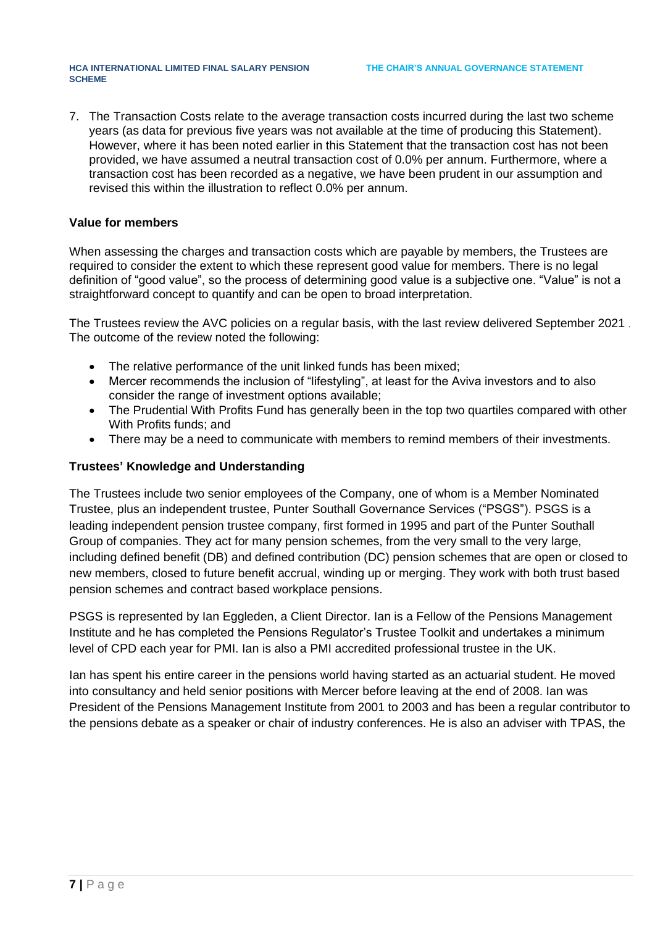7. The Transaction Costs relate to the average transaction costs incurred during the last two scheme years (as data for previous five years was not available at the time of producing this Statement). However, where it has been noted earlier in this Statement that the transaction cost has not been provided, we have assumed a neutral transaction cost of 0.0% per annum. Furthermore, where a transaction cost has been recorded as a negative, we have been prudent in our assumption and revised this within the illustration to reflect 0.0% per annum.

### **Value for members**

When assessing the charges and transaction costs which are payable by members, the Trustees are required to consider the extent to which these represent good value for members. There is no legal definition of "good value", so the process of determining good value is a subjective one. "Value" is not a straightforward concept to quantify and can be open to broad interpretation.

The Trustees review the AVC policies on a regular basis, with the last review delivered September 2021 . The outcome of the review noted the following:

- The relative performance of the unit linked funds has been mixed;
- Mercer recommends the inclusion of "lifestyling", at least for the Aviva investors and to also consider the range of investment options available;
- The Prudential With Profits Fund has generally been in the top two quartiles compared with other With Profits funds; and
- There may be a need to communicate with members to remind members of their investments.

## **Trustees' Knowledge and Understanding**

The Trustees include two senior employees of the Company, one of whom is a Member Nominated Trustee, plus an independent trustee, Punter Southall Governance Services ("PSGS"). PSGS is a leading independent pension trustee company, first formed in 1995 and part of the Punter Southall Group of companies. They act for many pension schemes, from the very small to the very large, including defined benefit (DB) and defined contribution (DC) pension schemes that are open or closed to new members, closed to future benefit accrual, winding up or merging. They work with both trust based pension schemes and contract based workplace pensions.

PSGS is represented by Ian Eggleden, a Client Director. Ian is a Fellow of the Pensions Management Institute and he has completed the Pensions Regulator's Trustee Toolkit and undertakes a minimum level of CPD each year for PMI. Ian is also a PMI accredited professional trustee in the UK.

Ian has spent his entire career in the pensions world having started as an actuarial student. He moved into consultancy and held senior positions with Mercer before leaving at the end of 2008. Ian was President of the Pensions Management Institute from 2001 to 2003 and has been a regular contributor to the pensions debate as a speaker or chair of industry conferences. He is also an adviser with TPAS, the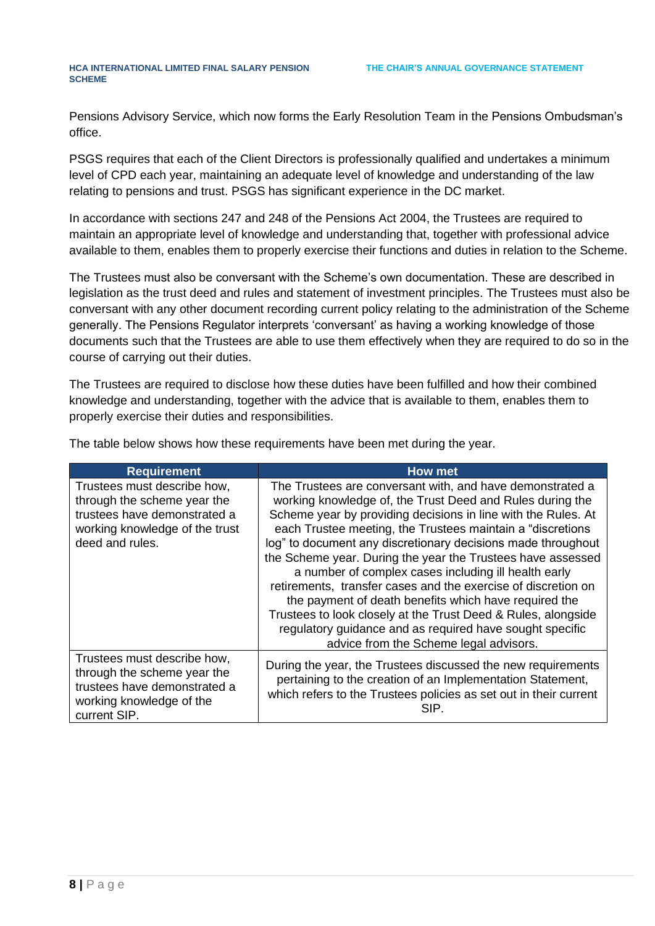Pensions Advisory Service, which now forms the Early Resolution Team in the Pensions Ombudsman's office.

PSGS requires that each of the Client Directors is professionally qualified and undertakes a minimum level of CPD each year, maintaining an adequate level of knowledge and understanding of the law relating to pensions and trust. PSGS has significant experience in the DC market.

In accordance with sections 247 and 248 of the Pensions Act 2004, the Trustees are required to maintain an appropriate level of knowledge and understanding that, together with professional advice available to them, enables them to properly exercise their functions and duties in relation to the Scheme.

The Trustees must also be conversant with the Scheme's own documentation. These are described in legislation as the trust deed and rules and statement of investment principles. The Trustees must also be conversant with any other document recording current policy relating to the administration of the Scheme generally. The Pensions Regulator interprets 'conversant' as having a working knowledge of those documents such that the Trustees are able to use them effectively when they are required to do so in the course of carrying out their duties.

The Trustees are required to disclose how these duties have been fulfilled and how their combined knowledge and understanding, together with the advice that is available to them, enables them to properly exercise their duties and responsibilities.

| <b>Requirement</b>                                                                                                                              | How met                                                                                                                                                                                                                                                                                                                                                                                                                                                                                                                                                                                                                                                                                                                                        |
|-------------------------------------------------------------------------------------------------------------------------------------------------|------------------------------------------------------------------------------------------------------------------------------------------------------------------------------------------------------------------------------------------------------------------------------------------------------------------------------------------------------------------------------------------------------------------------------------------------------------------------------------------------------------------------------------------------------------------------------------------------------------------------------------------------------------------------------------------------------------------------------------------------|
| Trustees must describe how,<br>through the scheme year the<br>trustees have demonstrated a<br>working knowledge of the trust<br>deed and rules. | The Trustees are conversant with, and have demonstrated a<br>working knowledge of, the Trust Deed and Rules during the<br>Scheme year by providing decisions in line with the Rules. At<br>each Trustee meeting, the Trustees maintain a "discretions"<br>log" to document any discretionary decisions made throughout<br>the Scheme year. During the year the Trustees have assessed<br>a number of complex cases including ill health early<br>retirements, transfer cases and the exercise of discretion on<br>the payment of death benefits which have required the<br>Trustees to look closely at the Trust Deed & Rules, alongside<br>regulatory guidance and as required have sought specific<br>advice from the Scheme legal advisors. |
| Trustees must describe how,<br>through the scheme year the<br>trustees have demonstrated a<br>working knowledge of the<br>current SIP.          | During the year, the Trustees discussed the new requirements<br>pertaining to the creation of an Implementation Statement,<br>which refers to the Trustees policies as set out in their current<br>SIP.                                                                                                                                                                                                                                                                                                                                                                                                                                                                                                                                        |

The table below shows how these requirements have been met during the year.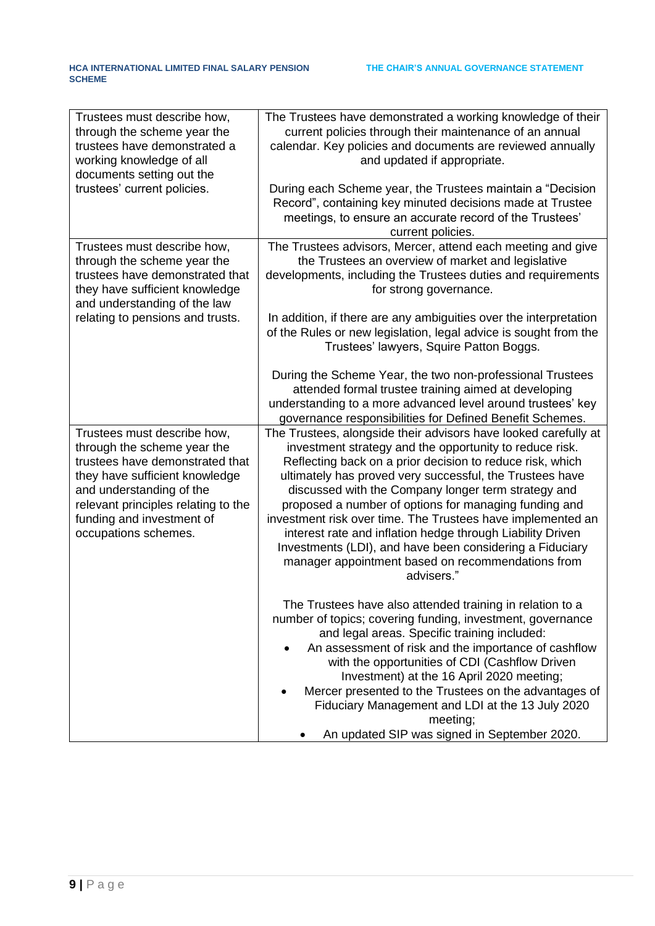| Trustees must describe how,<br>through the scheme year the<br>trustees have demonstrated a<br>working knowledge of all<br>documents setting out the<br>trustees' current policies.                                                                      | The Trustees have demonstrated a working knowledge of their<br>current policies through their maintenance of an annual<br>calendar. Key policies and documents are reviewed annually<br>and updated if appropriate.<br>During each Scheme year, the Trustees maintain a "Decision<br>Record", containing key minuted decisions made at Trustee                                                                                                                                                                                                                                                                                  |
|---------------------------------------------------------------------------------------------------------------------------------------------------------------------------------------------------------------------------------------------------------|---------------------------------------------------------------------------------------------------------------------------------------------------------------------------------------------------------------------------------------------------------------------------------------------------------------------------------------------------------------------------------------------------------------------------------------------------------------------------------------------------------------------------------------------------------------------------------------------------------------------------------|
|                                                                                                                                                                                                                                                         | meetings, to ensure an accurate record of the Trustees'<br>current policies.                                                                                                                                                                                                                                                                                                                                                                                                                                                                                                                                                    |
| Trustees must describe how,<br>through the scheme year the<br>trustees have demonstrated that<br>they have sufficient knowledge<br>and understanding of the law                                                                                         | The Trustees advisors, Mercer, attend each meeting and give<br>the Trustees an overview of market and legislative<br>developments, including the Trustees duties and requirements<br>for strong governance.                                                                                                                                                                                                                                                                                                                                                                                                                     |
| relating to pensions and trusts.                                                                                                                                                                                                                        | In addition, if there are any ambiguities over the interpretation<br>of the Rules or new legislation, legal advice is sought from the<br>Trustees' lawyers, Squire Patton Boggs.                                                                                                                                                                                                                                                                                                                                                                                                                                                |
|                                                                                                                                                                                                                                                         | During the Scheme Year, the two non-professional Trustees<br>attended formal trustee training aimed at developing<br>understanding to a more advanced level around trustees' key<br>governance responsibilities for Defined Benefit Schemes.                                                                                                                                                                                                                                                                                                                                                                                    |
| Trustees must describe how,<br>through the scheme year the<br>trustees have demonstrated that<br>they have sufficient knowledge<br>and understanding of the<br>relevant principles relating to the<br>funding and investment of<br>occupations schemes. | The Trustees, alongside their advisors have looked carefully at<br>investment strategy and the opportunity to reduce risk.<br>Reflecting back on a prior decision to reduce risk, which<br>ultimately has proved very successful, the Trustees have<br>discussed with the Company longer term strategy and<br>proposed a number of options for managing funding and<br>investment risk over time. The Trustees have implemented an<br>interest rate and inflation hedge through Liability Driven<br>Investments (LDI), and have been considering a Fiduciary<br>manager appointment based on recommendations from<br>advisers." |
|                                                                                                                                                                                                                                                         | The Trustees have also attended training in relation to a<br>number of topics; covering funding, investment, governance<br>and legal areas. Specific training included:<br>An assessment of risk and the importance of cashflow<br>with the opportunities of CDI (Cashflow Driven<br>Investment) at the 16 April 2020 meeting;<br>Mercer presented to the Trustees on the advantages of<br>Fiduciary Management and LDI at the 13 July 2020<br>meeting;<br>An updated SIP was signed in September 2020.                                                                                                                         |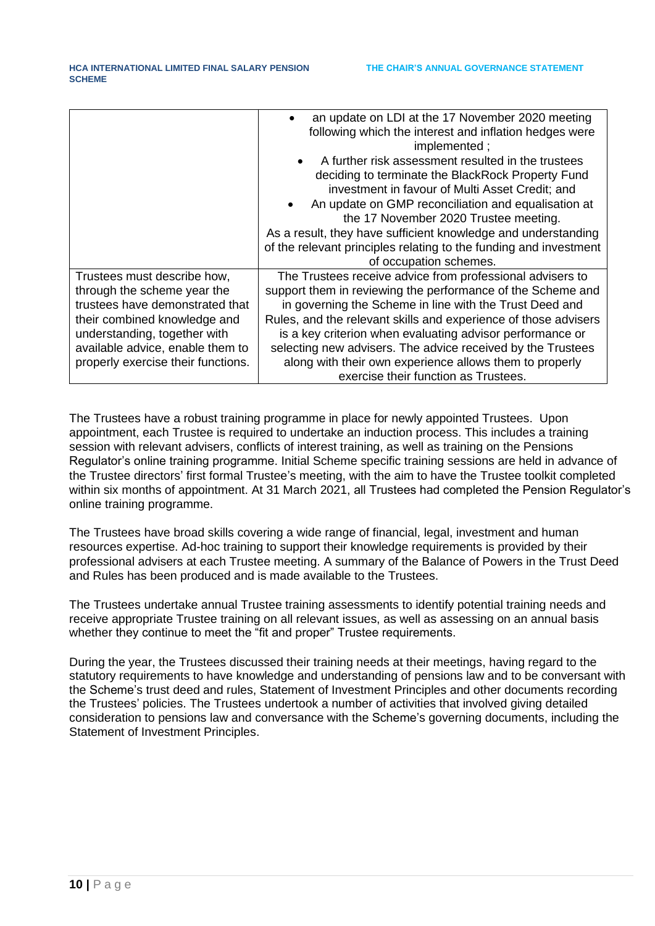|                                    | an update on LDI at the 17 November 2020 meeting<br>following which the interest and inflation hedges were |
|------------------------------------|------------------------------------------------------------------------------------------------------------|
|                                    | implemented;                                                                                               |
|                                    | A further risk assessment resulted in the trustees                                                         |
|                                    | deciding to terminate the BlackRock Property Fund                                                          |
|                                    | investment in favour of Multi Asset Credit; and                                                            |
|                                    | An update on GMP reconciliation and equalisation at                                                        |
|                                    | the 17 November 2020 Trustee meeting.                                                                      |
|                                    | As a result, they have sufficient knowledge and understanding                                              |
|                                    | of the relevant principles relating to the funding and investment                                          |
|                                    | of occupation schemes.                                                                                     |
| Trustees must describe how,        | The Trustees receive advice from professional advisers to                                                  |
| through the scheme year the        | support them in reviewing the performance of the Scheme and                                                |
| trustees have demonstrated that    | in governing the Scheme in line with the Trust Deed and                                                    |
| their combined knowledge and       | Rules, and the relevant skills and experience of those advisers                                            |
| understanding, together with       | is a key criterion when evaluating advisor performance or                                                  |
| available advice, enable them to   | selecting new advisers. The advice received by the Trustees                                                |
| properly exercise their functions. | along with their own experience allows them to properly                                                    |
|                                    | exercise their function as Trustees.                                                                       |

The Trustees have a robust training programme in place for newly appointed Trustees. Upon appointment, each Trustee is required to undertake an induction process. This includes a training session with relevant advisers, conflicts of interest training, as well as training on the Pensions Regulator's online training programme. Initial Scheme specific training sessions are held in advance of the Trustee directors' first formal Trustee's meeting, with the aim to have the Trustee toolkit completed within six months of appointment. At 31 March 2021, all Trustees had completed the Pension Regulator's online training programme.

The Trustees have broad skills covering a wide range of financial, legal, investment and human resources expertise. Ad-hoc training to support their knowledge requirements is provided by their professional advisers at each Trustee meeting. A summary of the Balance of Powers in the Trust Deed and Rules has been produced and is made available to the Trustees.

The Trustees undertake annual Trustee training assessments to identify potential training needs and receive appropriate Trustee training on all relevant issues, as well as assessing on an annual basis whether they continue to meet the "fit and proper" Trustee requirements.

During the year, the Trustees discussed their training needs at their meetings, having regard to the statutory requirements to have knowledge and understanding of pensions law and to be conversant with the Scheme's trust deed and rules, Statement of Investment Principles and other documents recording the Trustees' policies. The Trustees undertook a number of activities that involved giving detailed consideration to pensions law and conversance with the Scheme's governing documents, including the Statement of Investment Principles.